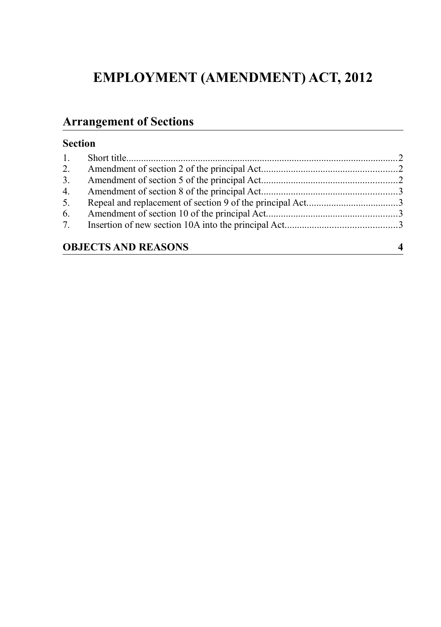# **EMPLOYMENT (AMENDMENT) ACT, 2012**

## **Arrangement of Sections**

## **Section**

| 3.                         |  |  |
|----------------------------|--|--|
| 4.                         |  |  |
| 5.                         |  |  |
|                            |  |  |
|                            |  |  |
| <b>OBJECTS AND REASONS</b> |  |  |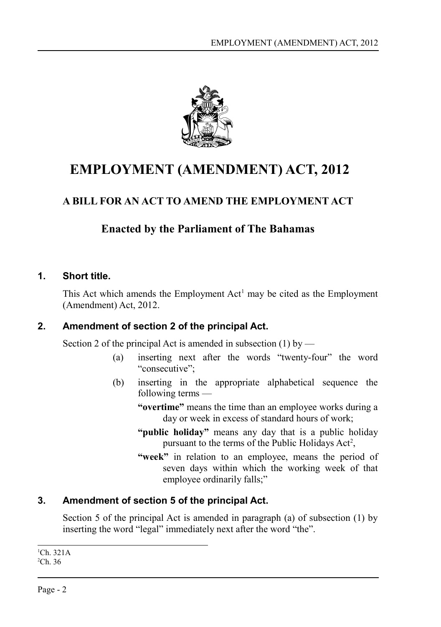

# **EMPLOYMENT (AMENDMENT) ACT, 2012**

## **A BILL FOR AN ACT TO AMEND THE EMPLOYMENT ACT**

## **Enacted by the Parliament of The Bahamas**

## **1. Short title.**

<span id="page-1-2"></span>This Act which amends the Employment  $Act<sup>1</sup>$  $Act<sup>1</sup>$  $Act<sup>1</sup>$  may be cited as the Employment (Amendment) Act, 2012.

## **2. Amendment of section 2 of the principal Act.**

<span id="page-1-1"></span>Section 2 of the principal Act is amended in subsection  $(1)$  by —

- (a) inserting next after the words "twenty-four" the word "consecutive";
- (b) inserting in the appropriate alphabetical sequence the following terms —
	- **"overtime"** means the time than an employee works during a day or week in excess of standard hours of work;
	- **"public holiday"** means any day that is a public holiday pursuant to the terms of the Public Holidays  $Act^2$  $Act^2$ ,
	- **"week"** in relation to an employee, means the period of seven days within which the working week of that employee ordinarily falls;"

## **3. Amendment of section 5 of the principal Act.**

<span id="page-1-0"></span>Section 5 of the principal Act is amended in paragraph (a) of subsection (1) by inserting the word "legal" immediately next after the word "the".

<span id="page-1-4"></span><span id="page-1-3"></span> ${}^{1}$ Ch. 321A  ${}^{2}$ Ch. 36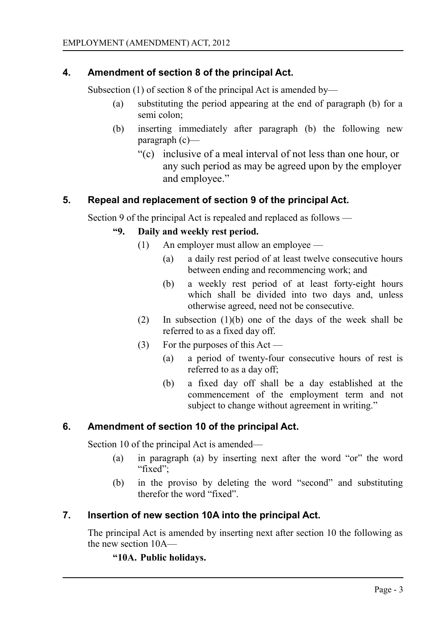## **4. Amendment of section 8 of the principal Act.**

<span id="page-2-3"></span>Subsection (1) of section 8 of the principal Act is amended by—

- (a) substituting the period appearing at the end of paragraph (b) for a semi colon;
- (b) inserting immediately after paragraph (b) the following new paragraph (c)—
	- "(c) inclusive of a meal interval of not less than one hour, or any such period as may be agreed upon by the employer and employee."

#### **5. Repeal and replacement of section 9 of the principal Act.**

<span id="page-2-2"></span>Section 9 of the principal Act is repealed and replaced as follows —

#### **"9. Daily and weekly rest period.**

- (1) An employer must allow an employee
	- (a) a daily rest period of at least twelve consecutive hours between ending and recommencing work; and
	- (b) a weekly rest period of at least forty-eight hours which shall be divided into two days and, unless otherwise agreed, need not be consecutive.
- (2) In subsection (1)(b) one of the days of the week shall be referred to as a fixed day off.
- (3) For the purposes of this Act
	- (a) a period of twenty-four consecutive hours of rest is referred to as a day off;
	- (b) a fixed day off shall be a day established at the commencement of the employment term and not subject to change without agreement in writing."

#### **6. Amendment of section 10 of the principal Act.**

<span id="page-2-1"></span>Section 10 of the principal Act is amended—

- (a) in paragraph (a) by inserting next after the word "or" the word "fixed";
- (b) in the proviso by deleting the word "second" and substituting therefor the word "fixed".

## **7. Insertion of new section 10A into the principal Act.**

<span id="page-2-0"></span>The principal Act is amended by inserting next after section 10 the following as the new section 10A—

## **"10A. Public holidays.**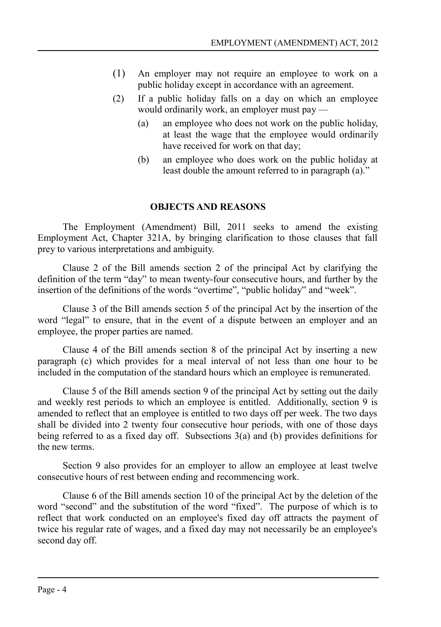- (1) An employer may not require an employee to work on a public holiday except in accordance with an agreement.
- (2) If a public holiday falls on a day on which an employee would ordinarily work, an employer must pay —
	- (a) an employee who does not work on the public holiday, at least the wage that the employee would ordinarily have received for work on that day;
	- (b) an employee who does work on the public holiday at least double the amount referred to in paragraph (a)."

#### <span id="page-3-0"></span>**OBJECTS AND REASONS**

The Employment (Amendment) Bill, 2011 seeks to amend the existing Employment Act, Chapter 321A, by bringing clarification to those clauses that fall prey to various interpretations and ambiguity.

Clause 2 of the Bill amends section 2 of the principal Act by clarifying the definition of the term "day" to mean twenty-four consecutive hours, and further by the insertion of the definitions of the words "overtime", "public holiday" and "week".

Clause 3 of the Bill amends section 5 of the principal Act by the insertion of the word "legal" to ensure, that in the event of a dispute between an employer and an employee, the proper parties are named.

Clause 4 of the Bill amends section 8 of the principal Act by inserting a new paragraph (c) which provides for a meal interval of not less than one hour to be included in the computation of the standard hours which an employee is remunerated.

Clause 5 of the Bill amends section 9 of the principal Act by setting out the daily and weekly rest periods to which an employee is entitled. Additionally, section 9 is amended to reflect that an employee is entitled to two days off per week. The two days shall be divided into 2 twenty four consecutive hour periods, with one of those days being referred to as a fixed day off. Subsections 3(a) and (b) provides definitions for the new terms.

Section 9 also provides for an employer to allow an employee at least twelve consecutive hours of rest between ending and recommencing work.

Clause 6 of the Bill amends section 10 of the principal Act by the deletion of the word "second" and the substitution of the word "fixed". The purpose of which is to reflect that work conducted on an employee's fixed day off attracts the payment of twice his regular rate of wages, and a fixed day may not necessarily be an employee's second day off.